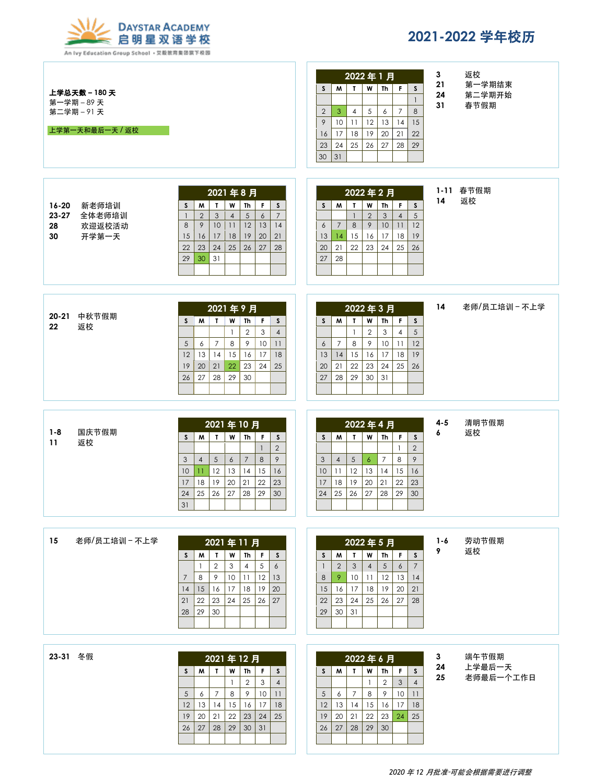

## **2021-2022** 学年校历

| 上学总天数-180天<br>第一学期-89天<br>第二学期-91天<br>上学第一天和最后一天 / 返校                    |                                                                                                                                                                                                                                                                                                                                                               | 2022年1月<br>$\mathbf{I}$<br>W<br>Th<br>F.<br>S<br>S<br>M<br>$\mathbf{1}$<br>8<br>$\overline{4}$<br>5<br>$\overline{7}$<br>$\overline{2}$<br>3 <sup>7</sup><br>6<br>9<br>15<br>10 <sup>°</sup><br>11<br>12<br>13<br> 4 <br>17<br>18<br>19<br>20<br>21<br>22<br>16<br>29<br>23<br>24<br>25<br>26<br>27<br>28<br>30<br>31                                | 返校<br>3 <sup>1</sup><br>第一学期结束<br>21<br>第二学期开始<br>24<br>春节假期<br>31 |
|--------------------------------------------------------------------------|---------------------------------------------------------------------------------------------------------------------------------------------------------------------------------------------------------------------------------------------------------------------------------------------------------------------------------------------------------------|------------------------------------------------------------------------------------------------------------------------------------------------------------------------------------------------------------------------------------------------------------------------------------------------------------------------------------------------------|--------------------------------------------------------------------|
| $16 - 20$<br>新老师培训<br>$23 - 27$<br>全体老师培训<br>28<br>欢迎返校活动<br>30<br>开学第一天 | 2021年8月<br>$\mathbf{T}$<br><b>W</b><br>$\mathsf{Th}$<br>F.<br>$\mathsf{s}$<br>M<br>S<br>$\mathbf{3}$<br>$\overline{7}$<br>$\overline{2}$<br>5<br>$\overline{4}$<br>$\overline{6}$<br>$\mathbf{1}$<br>8<br>9<br>10 <sup>1</sup><br>11<br>12<br>13<br>14<br>15<br>17<br>18<br> 9 <br>20<br>16<br>21<br>22<br>23<br>24<br>25<br>27<br>28<br>26<br>29<br>30<br>31 | 2022年2月<br>F<br>M<br>w I<br>Th<br>$\mathsf{s}$<br>$\mathsf{S}$<br>$\mathbf{I}$<br>$\overline{2}$<br>$\mathbf{3}$<br>5<br>$\mathbf{1}$<br>$\overline{4}$<br>8 <sup>8</sup><br>$7\overline{ }$<br>9<br>$10$   11<br>12<br>6 <sup>6</sup><br>15<br>16<br>17<br>18<br>13 <sup>1</sup><br> 4 <br>19<br>21<br>22<br>23<br>24<br>25<br>26<br>20<br>28<br>27 | 1-11 春节假期<br>返校<br>14                                              |
| 20-21 中秋节假期<br>22<br>返校                                                  | 2021年9月<br>S<br>M<br>$\mathbf{I}$<br>W<br>$Th$ $F$<br>S<br>$\overline{2}$<br>3<br>$\overline{1}$<br>$\overline{4}$<br>9<br>$\overline{7}$<br>8<br>10 <sup>°</sup><br>5<br>6<br>11<br>12<br>13<br>14<br>15<br>17<br>16<br>18<br>19<br>22<br>23<br>24<br>25<br>20<br>21<br>26<br>27<br>28<br>29<br>30                                                           | 2022年3月<br>M<br>W<br>Th<br>$\mathsf F$<br>$\mathbf{I}$<br>s<br>S.<br>$\overline{2}$<br>$\mathbf{3}$<br>$\mathbf{1}$<br>$\overline{4}$<br>5<br>8<br>9<br>$\overline{7}$<br>10<br>12<br>6<br>11<br>15<br>17<br>18<br>19<br>13<br>14<br>16<br>21<br>22<br>23<br>24<br>25<br>26<br>20<br>29<br>28<br>30<br>31<br>27                                      | 老师/员工培训-不上学<br>14                                                  |
| $1 - 8$<br>国庆节假期<br>11<br>返校                                             | 2021年10月<br>F<br>M<br>$\mathbf{I}$<br>$\mathsf{Th}$<br>S<br>W<br>S<br>$\mathbf{1}$<br>$\overline{2}$<br>5<br>8<br>9<br>3<br>$\overline{4}$<br>6<br>$\overline{7}$<br>12<br>15<br>10<br>13<br>14<br>16<br>11.<br>18<br>19<br>22<br>17<br>20<br>21<br>23<br>26<br>25<br>27<br>29<br>30<br>24<br>28<br>31                                                        | 2022年4月<br>F<br>M<br>W<br>Th<br>$\mathbf{I}$<br>S<br>S<br>2<br>$\mathbf{1}$<br>9<br>$\overline{7}$<br>8<br>3<br>5 <sup>5</sup><br>$\overline{6}$<br>$\overline{4}$<br>12<br>10<br>13<br>14<br>15<br>11<br>16<br>18<br>19<br>20<br>21<br>22<br>23<br>17<br>26<br>24<br>25<br>27<br>28<br>29<br>30                                                     | 清明节假期<br>$4 - 5$<br>返校<br>6                                        |
| 15<br>老师/员工培训-不上学                                                        |                                                                                                                                                                                                                                                                                                                                                               |                                                                                                                                                                                                                                                                                                                                                      |                                                                    |
|                                                                          | 2021年11月<br>$\mathbf{r}$<br>W<br>$Th$ $F$<br>s.<br>M<br>$\mathsf{s}$<br>$\overline{2}$<br>5<br>3<br>$\overline{4}$<br>6<br>$\mathbf{1}$<br>9<br>$12$   13<br>$\overline{7}$<br>8<br>10 <sup>°</sup><br>11<br>16<br>15<br>17<br>18<br>19<br>20<br>14<br>22<br>23<br>24<br>$26 \mid 27$<br>21<br>25<br>29<br>30<br>28                                           | 2022年5月<br>F<br>W<br>Th<br>$\mathsf{s}$<br>$\mathsf{s}$<br>M<br>$\mathbf{I}$<br>3<br>5<br>$\overline{7}$<br>$\overline{2}$<br>$\overline{4}$<br>6<br>$\mathbf{1}$<br>9<br>10<br>12<br> 13 <br>14<br>8<br>11<br>16<br>15<br>17<br>18<br>19<br>20<br>21<br>23<br>24<br>25<br>26<br>28<br>22 <sub>1</sub><br>27<br>29<br>30<br>31                       | 劳动节假期<br>$1 - 6$<br>9<br>返校                                        |